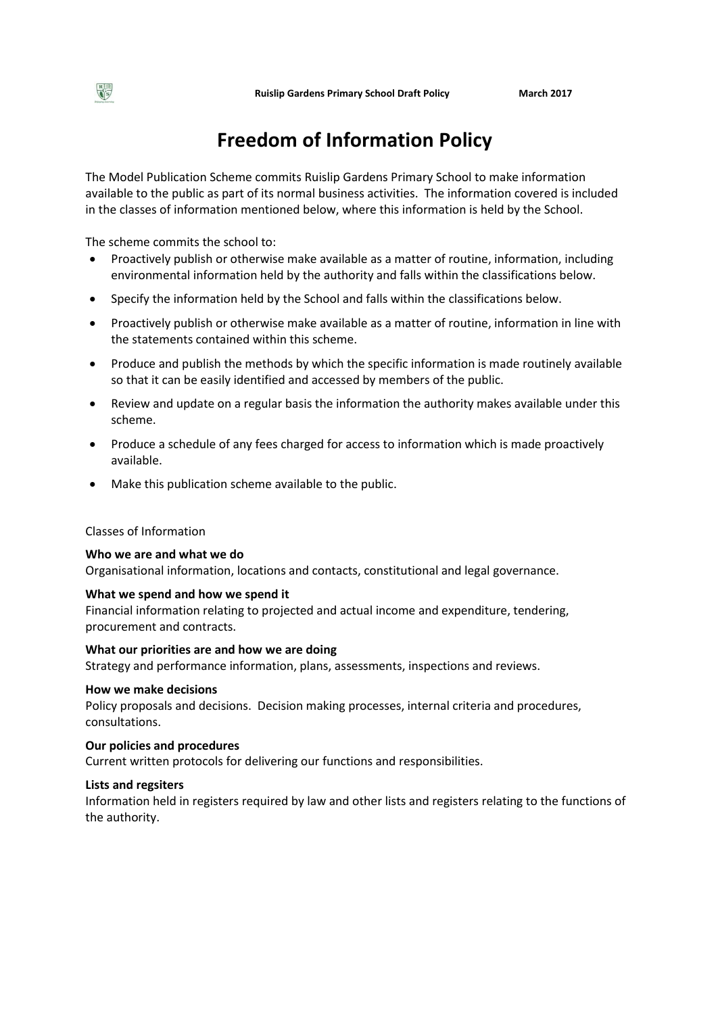# **Freedom of Information Policy**

The Model Publication Scheme commits Ruislip Gardens Primary School to make information available to the public as part of its normal business activities. The information covered is included in the classes of information mentioned below, where this information is held by the School.

The scheme commits the school to:

- Proactively publish or otherwise make available as a matter of routine, information, including environmental information held by the authority and falls within the classifications below.
- Specify the information held by the School and falls within the classifications below.
- Proactively publish or otherwise make available as a matter of routine, information in line with the statements contained within this scheme.
- Produce and publish the methods by which the specific information is made routinely available so that it can be easily identified and accessed by members of the public.
- Review and update on a regular basis the information the authority makes available under this scheme.
- Produce a schedule of any fees charged for access to information which is made proactively available.
- Make this publication scheme available to the public.

### Classes of Information

### **Who we are and what we do**

Organisational information, locations and contacts, constitutional and legal governance.

### **What we spend and how we spend it**

Financial information relating to projected and actual income and expenditure, tendering, procurement and contracts.

# **What our priorities are and how we are doing**

Strategy and performance information, plans, assessments, inspections and reviews.

#### **How we make decisions**

Policy proposals and decisions. Decision making processes, internal criteria and procedures, consultations.

### **Our policies and procedures**

Current written protocols for delivering our functions and responsibilities.

# **Lists and regsiters**

Information held in registers required by law and other lists and registers relating to the functions of the authority.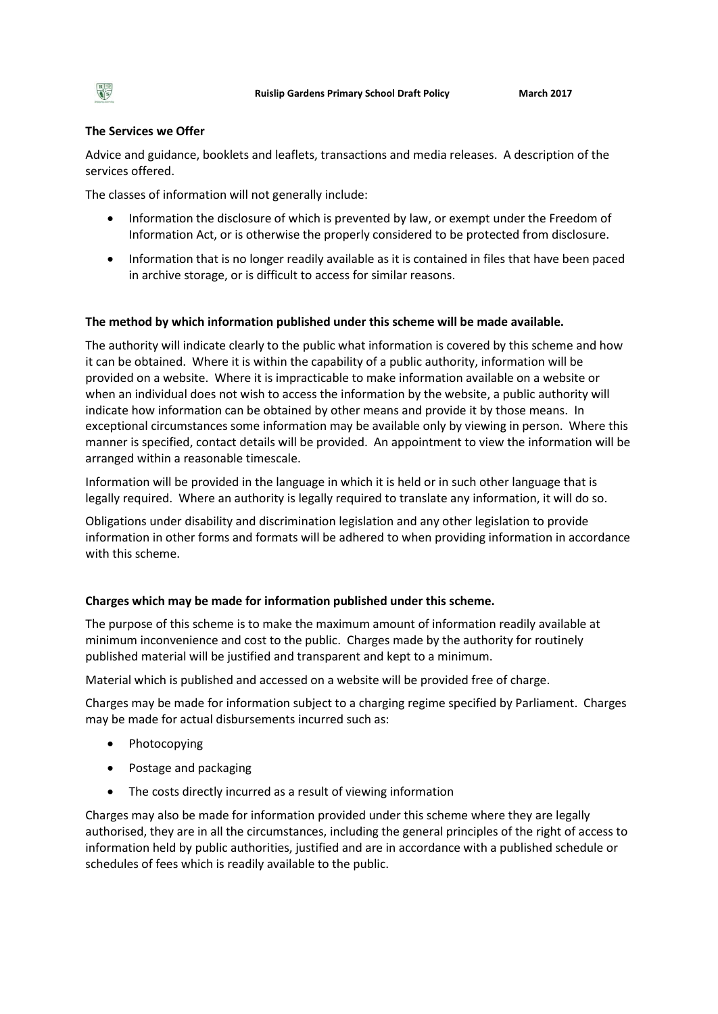# **The Services we Offer**

Advice and guidance, booklets and leaflets, transactions and media releases. A description of the services offered.

The classes of information will not generally include:

- Information the disclosure of which is prevented by law, or exempt under the Freedom of Information Act, or is otherwise the properly considered to be protected from disclosure.
- Information that is no longer readily available as it is contained in files that have been paced in archive storage, or is difficult to access for similar reasons.

# **The method by which information published under this scheme will be made available.**

The authority will indicate clearly to the public what information is covered by this scheme and how it can be obtained. Where it is within the capability of a public authority, information will be provided on a website. Where it is impracticable to make information available on a website or when an individual does not wish to access the information by the website, a public authority will indicate how information can be obtained by other means and provide it by those means. In exceptional circumstances some information may be available only by viewing in person. Where this manner is specified, contact details will be provided. An appointment to view the information will be arranged within a reasonable timescale.

Information will be provided in the language in which it is held or in such other language that is legally required. Where an authority is legally required to translate any information, it will do so.

Obligations under disability and discrimination legislation and any other legislation to provide information in other forms and formats will be adhered to when providing information in accordance with this scheme.

### **Charges which may be made for information published under this scheme.**

The purpose of this scheme is to make the maximum amount of information readily available at minimum inconvenience and cost to the public. Charges made by the authority for routinely published material will be justified and transparent and kept to a minimum.

Material which is published and accessed on a website will be provided free of charge.

Charges may be made for information subject to a charging regime specified by Parliament. Charges may be made for actual disbursements incurred such as:

- Photocopying
- Postage and packaging
- The costs directly incurred as a result of viewing information

Charges may also be made for information provided under this scheme where they are legally authorised, they are in all the circumstances, including the general principles of the right of access to information held by public authorities, justified and are in accordance with a published schedule or schedules of fees which is readily available to the public.

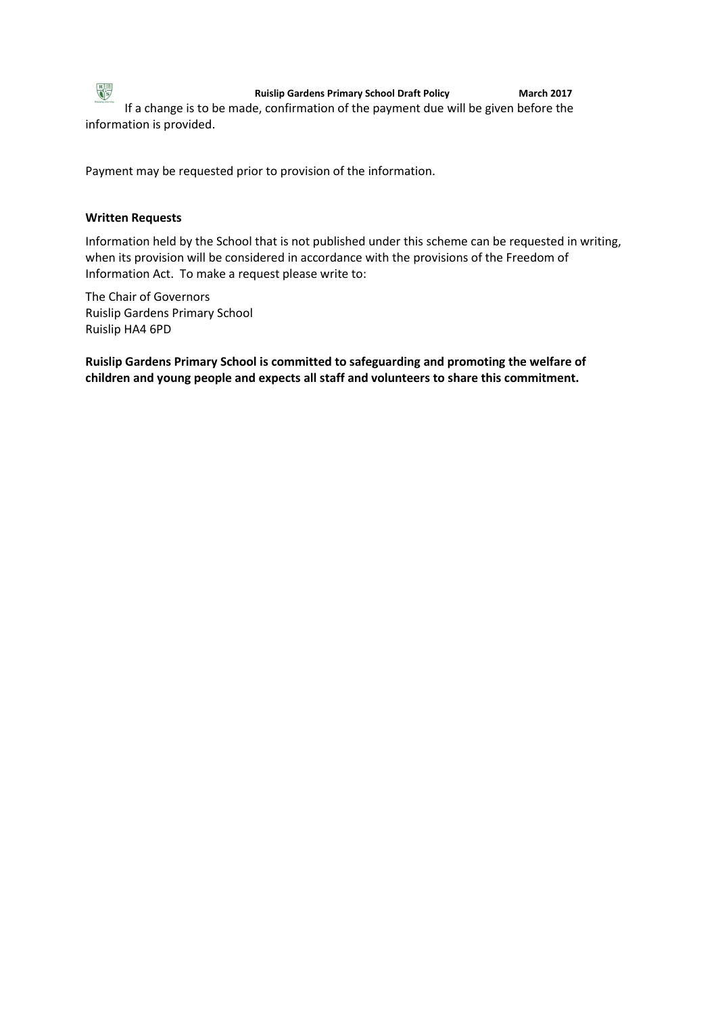

**Ruislip Gardens Primary School Draft Policy March 2017**

If a change is to be made, confirmation of the payment due will be given before the information is provided.

Payment may be requested prior to provision of the information.

# **Written Requests**

Information held by the School that is not published under this scheme can be requested in writing, when its provision will be considered in accordance with the provisions of the Freedom of Information Act. To make a request please write to:

The Chair of Governors Ruislip Gardens Primary School Ruislip HA4 6PD

**Ruislip Gardens Primary School is committed to safeguarding and promoting the welfare of children and young people and expects all staff and volunteers to share this commitment.**